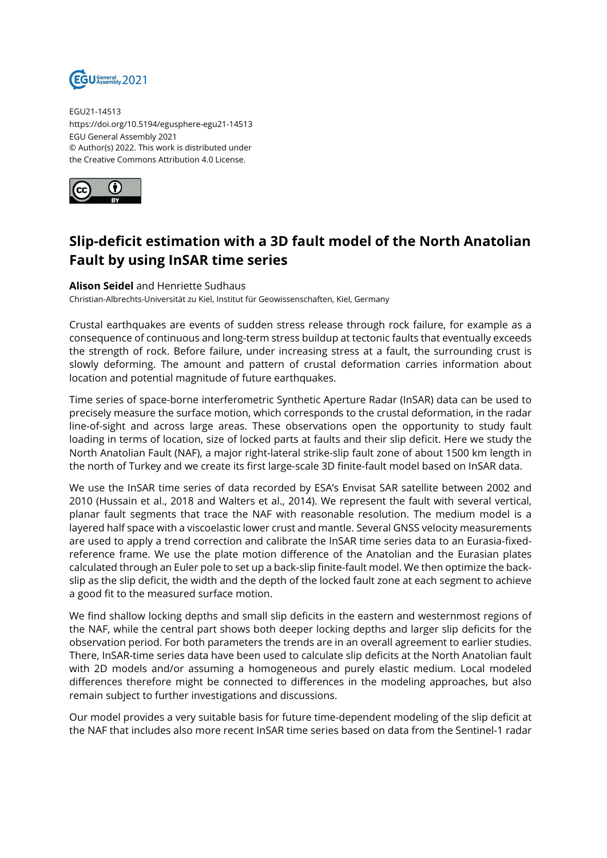

EGU21-14513 https://doi.org/10.5194/egusphere-egu21-14513 EGU General Assembly 2021 © Author(s) 2022. This work is distributed under the Creative Commons Attribution 4.0 License.



## **Slip-deficit estimation with a 3D fault model of the North Anatolian Fault by using InSAR time series**

## **Alison Seidel** and Henriette Sudhaus

Christian-Albrechts-Universität zu Kiel, Institut für Geowissenschaften, Kiel, Germany

Crustal earthquakes are events of sudden stress release through rock failure, for example as a consequence of continuous and long-term stress buildup at tectonic faults that eventually exceeds the strength of rock. Before failure, under increasing stress at a fault, the surrounding crust is slowly deforming. The amount and pattern of crustal deformation carries information about location and potential magnitude of future earthquakes.

Time series of space-borne interferometric Synthetic Aperture Radar (InSAR) data can be used to precisely measure the surface motion, which corresponds to the crustal deformation, in the radar line-of-sight and across large areas. These observations open the opportunity to study fault loading in terms of location, size of locked parts at faults and their slip deficit. Here we study the North Anatolian Fault (NAF), a major right-lateral strike-slip fault zone of about 1500 km length in the north of Turkey and we create its first large-scale 3D finite-fault model based on InSAR data.

We use the InSAR time series of data recorded by ESA's Envisat SAR satellite between 2002 and 2010 (Hussain et al., 2018 and Walters et al., 2014). We represent the fault with several vertical, planar fault segments that trace the NAF with reasonable resolution. The medium model is a layered half space with a viscoelastic lower crust and mantle. Several GNSS velocity measurements are used to apply a trend correction and calibrate the InSAR time series data to an Eurasia-fixedreference frame. We use the plate motion difference of the Anatolian and the Eurasian plates calculated through an Euler pole to set up a back-slip finite-fault model. We then optimize the backslip as the slip deficit, the width and the depth of the locked fault zone at each segment to achieve a good fit to the measured surface motion.

We find shallow locking depths and small slip deficits in the eastern and westernmost regions of the NAF, while the central part shows both deeper locking depths and larger slip deficits for the observation period. For both parameters the trends are in an overall agreement to earlier studies. There, InSAR-time series data have been used to calculate slip deficits at the North Anatolian fault with 2D models and/or assuming a homogeneous and purely elastic medium. Local modeled differences therefore might be connected to differences in the modeling approaches, but also remain subject to further investigations and discussions.

Our model provides a very suitable basis for future time-dependent modeling of the slip deficit at the NAF that includes also more recent InSAR time series based on data from the Sentinel-1 radar